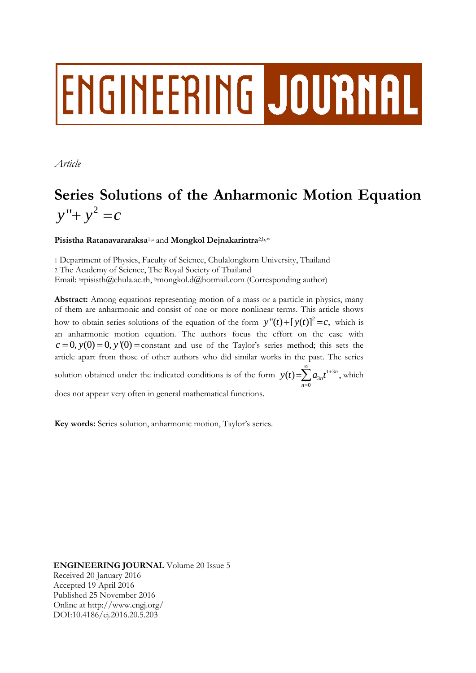# ENGINEERING JOURNAL

*Article*

# **Series Solutions of the Anharmonic Motion Equation**  $y'' + y^2 = c$

# **Pisistha Ratanavararaksa**1,a and **Mongkol Dejnakarintra**2,b,\*

1 Department of Physics, Faculty of Science, Chulalongkorn University, Thailand 2 The Academy of Science, The Royal Society of Thailand Email: <sup>a</sup>rpisisth@chula.ac.th, <sup>b</sup>mongkol.d@hotmail.com (Corresponding author)

**Abstract:** Among equations representing motion of a mass or a particle in physics, many of them are anharmonic and consist of one or more nonlinear terms. This article shows how to obtain series solutions of the equation of the form  $y''(t) + [y(t)]^2 = c$ , which is an anharmonic motion equation. The authors focus the effort on the case with  $c = 0$ ,  $y(0) = 0$ ,  $y'(0) =$ constant and use of the Taylor's series method; this sets the article apart from those of other authors who did similar works in the past. The series solution obtained under the indicated conditions is of the form  $y(t) = \sum a_{3n} t^{1+3}$ 3  $\mathbf{0}$  $(t) = \sum a_{3n} t^{1+3n}$ , *n*  $y(t) = \sum_{n=0}^{\infty} a_{3n} t^{1+1}$  $=\sum_{n=0}^{\infty} a_{3n} t^{1+3n}$ , which does not appear very often in general mathematical functions.

**Key words:** Series solution, anharmonic motion, Taylor's series.

**ENGINEERING JOURNAL** Volume 20 Issue 5 Received 20 January 2016 Accepted 19 April 2016 Published 25 November 2016 Online at http://www.engj.org/ DOI:10.4186/ej.2016.20.5.203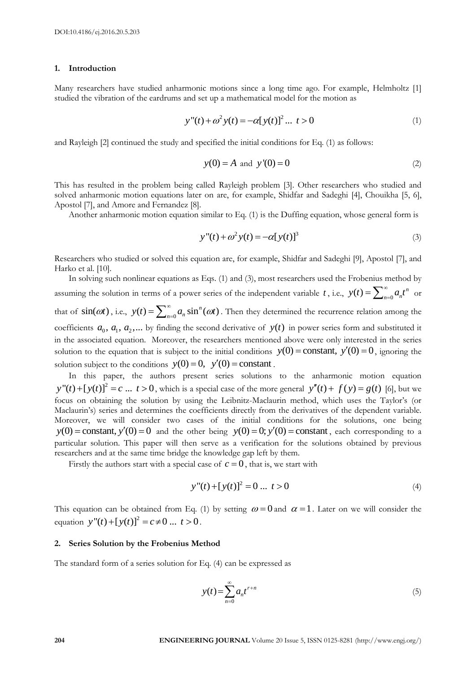#### **1. Introduction**

Many researchers have studied anharmonic motions since a long time ago. For example, Helmholtz [1] studied the vibration of the eardrums and set up a mathematical model for the motion as

$$
y''(t) + \omega^2 y(t) = -\alpha [y(t)]^2 \dots t > 0
$$
 (1)

and Rayleigh [2] continued the study and specified the initial conditions for Eq. (1) as follows:

$$
y(0) = A
$$
 and  $y'(0) = 0$  (2)

This has resulted in the problem being called Rayleigh problem [3]. Other researchers who studied and solved anharmonic motion equations later on are, for example, Shidfar and Sadeghi [4], Chouikha [5, 6], Apostol [7], and Amore and Fernandez [8].

Another anharmonic motion equation similar to Eq. (1) is the Duffing equation, whose general form is

$$
y''(t) + \omega^2 y(t) = -\alpha [y(t)]^3
$$
 (3)

Researchers who studied or solved this equation are, for example, Shidfar and Sadeghi [9], Apostol [7], and Harko et al. [10].

In solving such nonlinear equations as Eqs. (1) and (3), most researchers used the Frobenius method by assuming the solution in terms of a power series of the independent variable t, i.e.,  $y(t) = \sum_{n=0}^{\infty} a_n t^n$  $=\sum_{n=0}^{\infty} a_n t^n$  or that of  $\sin(\omega t)$ , i.e.,  $y(t) = \sum_{n=0}^{\infty} a_n \sin^n(\omega t)$  $=\sum_{n=0}^{\infty} a_n \sin^n(\omega t)$ . Then they determined the recurrence relation among the coefficients  $a_0, a_1, a_2, \dots$  by finding the second derivative of  $y(t)$  in power series form and substituted it in the associated equation. Moreover, the researchers mentioned above were only interested in the series in the associated equation. Moreover, the researchers mentioned above were only interested in the series solution to the equation that is subject to the initial conditions  $y(0) =$ constant,  $y'(0) = 0$ , ignoring the solution subject to the conditions  $y(0) = 0$ ,  $y'(0) = \text{constant}$ .

In this paper, the authors present series solutions to the anharmonic motion equation  $y''(t) + [y(t)]^2 = c$  ...  $t > 0$ , which is a special case of the more general  $y''(t) + f(y) = g(t)$  [6], but we focus on obtaining the solution by using the Leibnitz-Maclaurin method, which uses the Taylor's (or Maclaurin's) series and determines the coefficients directly from the derivatives of the dependent variable. Moreover, we will consider two cases of the initial conditions for the solutions, one being woreover, we will consider two cases of the findal conditions for the solutions, one being  $y(0) = \text{constant}$ ,  $y'(0) = \text{constant}$ , each corresponding to a particular solution. This paper will then serve as a verification for the solutions obtained by previous researchers and at the same time bridge the knowledge gap left by them.

Firstly the authors start with a special case of  $c = 0$ , that is, we start with

$$
y''(t) + [y(t)]^2 = 0 \dots t > 0
$$
 (4)

This equation can be obtained from Eq. (1) by setting  $\omega = 0$  and  $\alpha = 1$ . Later on we will consider the equation  $y''(t) + [y(t)]^2$ tion can be obtained from Eq. (1<br> $y''(t) + [y(t)]^2 = c \neq 0 \dots t > 0$ .

#### **2. Series Solution by the Frobenius Method**

The standard form of a series solution for Eq. (4) can be expressed as

$$
y(t) = \sum_{n=0}^{\infty} a_n t^{r+n}
$$
\n<sup>(5)</sup>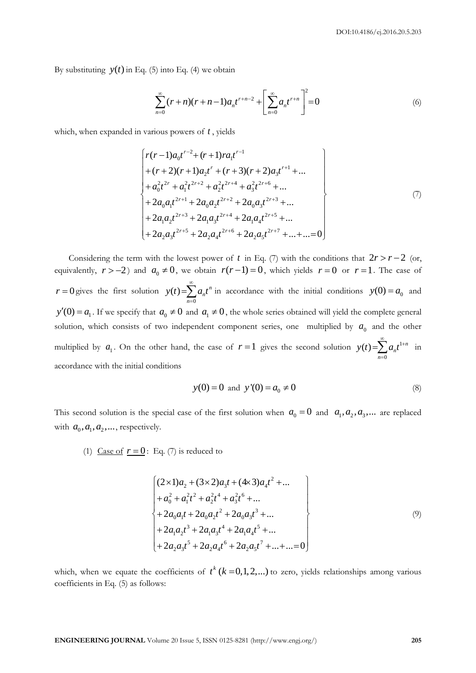By substituting  $y(t)$  in Eq. (5) into Eq. (4) we obtain

$$
\sum_{n=0}^{\infty} (r+n)(r+n-1)a_n t^{r+n-2} + \left[\sum_{n=0}^{\infty} a_n t^{r+n}\right]^2 = 0
$$
\n(6)

which, when expanded in various powers of *t*, yields  
\n
$$
\begin{cases}\nr(r-1)a_0t^{r-2} + (r+1)ra_1t^{r-1} + (r+2)(r+1)a_2t^{r+1} + ... \\
+(r+2)(r+1)a_2t^{r} + (r+3)(r+2)a_3t^{r+1} + ... \\
+a_0^2t^{2r} + a_1^2t^{2r+2} + a_2^2t^{2r+4} + a_3^2t^{2r+6} + ... \\
+ 2a_0a_1t^{2r+1} + 2a_0a_2t^{2r+2} + 2a_0a_3t^{2r+3} + ... \\
+ 2a_1a_2t^{2r+3} + 2a_1a_3t^{2r+4} + 2a_1a_4t^{2r+5} + ... \\
+ 2a_2a_3t^{2r+5} + 2a_2a_4t^{2r+6} + 2a_2a_5t^{2r+7} + ... + ... = 0\n\end{cases}
$$
\n(7)

Considering the term with the lowest power of t in Eq. (7) with the conditions that  $2r > r - 2$  (or, equivalently,  $r > -2$ ) and  $a_0 \neq 0$ , we obtain  $r(r-1) = 0$ , which yields  $r = 0$  or  $r = 1$ . The case of  $r = 0$  gives the first solution 0  $(t) = \sum a_n t^n$ *n*  $y(t) = \sum a_n t$  $\infty$  $=\sum_{n=0} a_n t^n$  in accordance with the initial conditions  $y(0) = a_0$  and  $y'(0) = a_1$ . If we specify that  $a_0 \neq 0$  and  $a_1 \neq 0$ , the whole series obtained will yield the complete general solution, which consists of two independent component series, one multiplied by  $a_0$  and the other multiplied by  $a_1$ . On the other hand, the case of  $r=1$  gives the second solution  $y(t) = \sum a_n t^1$ 0  $(t) = \sum a_n t^{1+n}$ *n*  $y(t) = \sum a_n t$  $\sum_{\alpha=1}^{\infty}$  $=\sum_{n=0} a_n t^{1+n}$  in accordance with the initial conditions

$$
y(0) = 0
$$
 and  $y'(0) = a_0 \neq 0$  (8)

This second solution is the special case of the first solution when  $a_0 = 0$  and  $a_1, a_2, a_3, ...$  are replaced with  $a_0, a_1, a_2, \dots$ , respectively.

(1) <u>Case of  $r = 0$ </u>: Eq. (7) is reduced to

$$
\begin{cases}\n(2 \times 1)a_2 + (3 \times 2)a_3t + (4 \times 3)a_4t^2 + \dots \\
+a_0^2 + a_1^2t^2 + a_2^2t^4 + a_3^2t^6 + \dots \\
+ 2a_0a_1t + 2a_0a_2t^2 + 2a_0a_3t^3 + \dots \\
+ 2a_1a_2t^3 + 2a_1a_3t^4 + 2a_1a_4t^5 + \dots \\
+ 2a_2a_3t^5 + 2a_2a_4t^6 + 2a_2a_5t^7 + \dots + \dots = 0\n\end{cases}
$$
\n(9)

which, when we equate the coefficients of  $t^k$  ( $k = 0,1,2,...$ ) to zero, yields relationships among various coefficients in Eq. (5) as follows: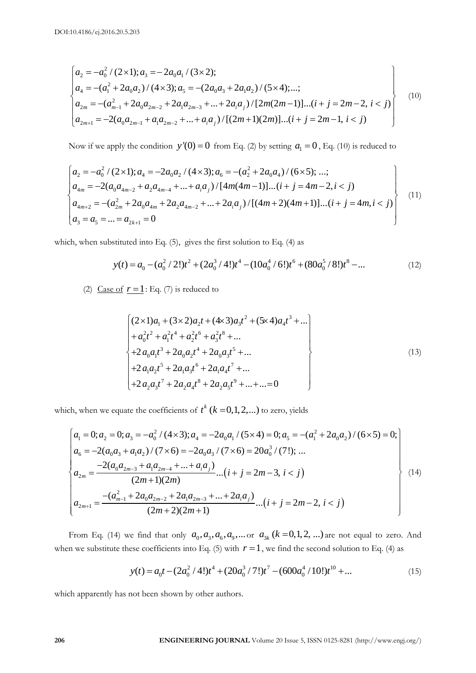10.4186/ej.2016.20.5.203  
\n
$$
\begin{cases}\na_2 = -a_0^2 / (2 \times 1); a_3 = -2a_0 a_1 / (3 \times 2); \\
a_4 = -(a_1^2 + 2a_0 a_2) / (4 \times 3); a_5 = -(2a_0 a_3 + 2a_1 a_2) / (5 \times 4); \dots; \\
a_{2m} = -(a_{m-1}^2 + 2a_0 a_{2m-2} + 2a_1 a_{2m-3} + \dots + 2a_i a_j) / [2m(2m-1)] \dots (i + j = 2m-2, i < j) \\
a_{2m+1} = -2(a_0 a_{2m-1} + a_1 a_{2m-2} + \dots + a_i a_j) / [(2m+1)(2m)] \dots (i + j = 2m-1, i < j)\n\end{cases}
$$
\n(10)

Now if we apply the condition 
$$
y'(0) = 0
$$
 from Eq. (2) by setting  $a_1 = 0$ , Eq. (10) is reduced to  
\n
$$
\begin{cases}\na_2 = -a_0^2 / (2 \times 1); a_4 = -2a_0 a_2 / (4 \times 3); a_6 = -(a_2^2 + 2a_0 a_4) / (6 \times 5); \dots; \\
a_{4m} = -2(a_0 a_{4m-2} + a_2 a_{4m-4} + \dots + a_i a_j) / [4m(4m-1)] \dots (i + j = 4m-2, i < j) \\
a_{4m+2} = -(a_{2m}^2 + 2a_0 a_{4m} + 2a_2 a_{4m-2} + \dots + 2a_i a_j) / [(4m+2)(4m+1)] \dots (i + j = 4m, i < j)\n\end{cases}
$$
\n(11)  
\n $a_3 = a_5 = \dots = a_{2k+1} = 0$ 

which, when substituted into Eq. (5), gives the first solution to Eq. (4) as  
\n
$$
y(t) = a_0 - (a_0^2 / 2!)t^2 + (2a_0^3 / 4!)t^4 - (10a_0^4 / 6!)t^6 + (80a_0^5 / 8!)t^8 - ... \qquad (12)
$$

(2) <u>Case of  $r = 1$ </u>: Eq. (7) is reduced to

$$
\begin{cases}\n(2 \times 1)a_1 + (3 \times 2)a_2t + (4 \times 3)a_3t^2 + (5 \times 4)a_4t^3 + \dots \\
+a_0^2t^2 + a_1^2t^4 + a_2^2t^6 + a_3^2t^8 + \dots \\
+ 2a_0a_1t^3 + 2a_0a_2t^4 + 2a_0a_3t^5 + \dots \\
+ 2a_1a_2t^5 + 2a_1a_3t^6 + 2a_1a_4t^7 + \dots \\
+ 2a_2a_3t^7 + 2a_2a_4t^8 + 2a_2a_5t^9 + \dots + \dots = 0\n\end{cases}
$$
\n(13)

which, when we equate the coefficients of 
$$
t^k
$$
 ( $k = 0,1,2,...$ ) to zero, yields  
\n
$$
\begin{cases}\na_1 = 0; a_2 = 0; a_3 = -a_0^2 / (4 \times 3); a_4 = -2a_0a_1 / (5 \times 4) = 0; a_5 = -(a_1^2 + 2a_0a_2) / (6 \times 5) = 0; \\
a_6 = -2(a_0a_3 + a_1a_2) / (7 \times 6) = -2a_0a_3 / (7 \times 6) = 20a_0^3 / (7!); ... \\
a_{2m} = \frac{-2(a_0a_{2m-3} + a_1a_{2m-4} + ... + a_1a_1)}{(2m+1)(2m)} ... (i+j = 2m-3, i < j) \\
a_{2m+1} = \frac{-(a_{m-1}^2 + 2a_0a_{2m-2} + 2a_1a_{2m-3} + ... + 2a_1a_1)}{(2m+2)(2m+1)} ... (i+j = 2m-2, i < j)\n\end{cases}
$$
\n(14)

From Eq. (14) we find that only  $a_0, a_3, a_6, a_9, \dots$  or  $a_{3k}$  ( $k = 0, 1, 2, \dots$ ) are not equal to zero. And when we substitute these coefficients into Eq. (5) with  $r = 1$ , we find the second solution to Eq. (4) as

\n See coefficients into Eq. (5) with 
$$
r = 1
$$
, we find the second solution to Eq. (4) as\n  $y(t) = a_0 t - \left(2a_0^2 / 4!\right)t^4 + \left(20a_0^3 / 7!\right)t^7 - \left(600a_0^4 / 10!\right)t^{10} + \dots$ \n (15)\n

which apparently has not been shown by other authors.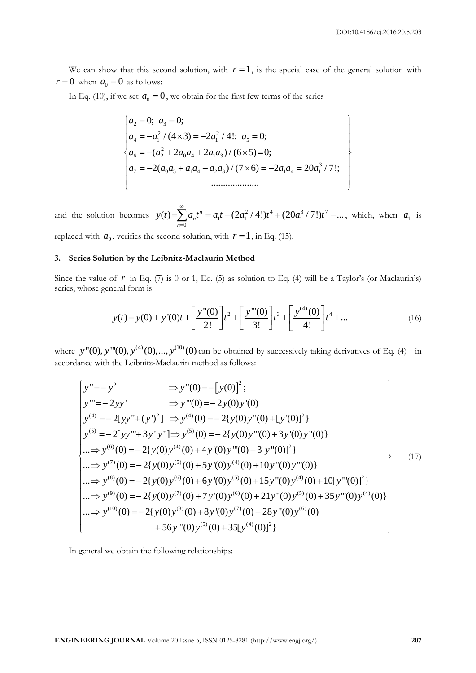We can show that this second solution, with  $r = 1$ , is the special case of the general solution with  $r = 0$  when  $a_0 = 0$  as follows:

In Eq. (10), if we set 
$$
a_0 = 0
$$
, we obtain for the first few terms of the series  
\n
$$
\begin{cases}\na_2 = 0; \ a_3 = 0; \\
a_4 = -a_1^2 / (4 \times 3) = -2a_1^2 / 4!; \ a_5 = 0; \\
a_6 = -(a_2^2 + 2a_0a_4 + 2a_1a_3) / (6 \times 5) = 0; \\
a_7 = -2(a_0a_5 + a_1a_4 + a_2a_3) / (7 \times 6) = -2a_1a_4 = 20a_1^3 / 7!; \\
&\dots \\
\end{cases}
$$

and the solution becomes  $y(t) = \sum_{n=1}^{\infty} a_n t^n = a_1 t - (2a_1^2 / 4!) t^4 + (20a_1^3 / 7!) t^7$  $\sum_{n=0}^{\infty} a_n t^n = a_1 t - (2a_1^2 / 4!) t^4 + (20a_1^3 / 7!) t^7 - ...$  $y(t) = \sum_{n=0}^{\infty} a_n t^n = a_1 t - (2a_1^2 / 4!) t^4 + (20a_1^3 / 7!) t$  $\infty$  $=\sum_{n=0}^{\infty} a_n t^n = a_1 t - (2a_1^2 / 4!) t^4 + (20a_1^3 / 7!) t^7 - \dots$ , which, when  $a_1$  is

replaced with  $a_0$ , verifies the second solution, with  $r = 1$ , in Eq. (15).

# **3. Series Solution by the Leibnitz-Maclaurin Method**

Since the value of  $r$  in Eq. (7) is 0 or 1, Eq. (5) as solution to Eq. (4) will be a Taylor's (or Maclaurin's) series, whose general form is

$$
y(t) = y(0) + y'(0)t + \left[\frac{y''(0)}{2!}\right]t^2 + \left[\frac{y'''(0)}{3!}\right]t^3 + \left[\frac{y^{(4)}(0)}{4!}\right]t^4 + \dots
$$
 (16)

accordance with the Leibnitz-Maclaurin method as follows:

where y"(0), y"(0), y<sup>(4)</sup>(0),..., y<sup>(10)</sup>(0) can be obtained by successively taking derivatives of Eq. (4) in  
\naccordance with the Leibnitz-Maclaurin method as follows:  
\n
$$
\begin{aligned}\ny"=- y^2 &\Rightarrow y"(0)=- [y(0)]^2; \\
y"=- 2yy' &\Rightarrow y"(0)=- 2y(0)y'(0) \\
y^{(4)}=- 2[yy"+(y')^2] &\Rightarrow y^{(4)}(0)=- 2{y(0)y"(0)+(y'(0)]^2} \\
y^{(5)}=- 2[yy"'+3y'y"] &\Rightarrow y^{(5)}(0)=- 2{y(0)y"(0)+3y'(0)y"(0)\n\end{aligned}
$$
\n
$$
\begin{aligned}\n\text{...} &\Rightarrow y^{(6)}(0)=- 2{y(0)y^{(4)}(0)+4y'(0)y...(0)+3y'(0)y''(0)} \\
\text{...} &\Rightarrow y^{(7)}(0)=- 2{y(0)y^{(5)}(0)+5y'(0)y^{(4)}(0)+10y''(0)y''(0)} \\
\text{...} &\Rightarrow y^{(8)}(0)=- 2{y(0)y^{(6)}(0)+6y'(0)y^{(5)}(0)+15y''(0)y^{(4)}(0)+10[y''(0)]^2} \\
\text{...} &\Rightarrow y^{(9)}(0)=- 2{y(0)y^{(7)}(0)+7y'(0)y^{(6)}(0)+21y''(0)y^{(5)}(0)+35y''(0)y^{(4)}(0)} \\
\text{...} &\Rightarrow y^{(10)}(0)=-2{y(0)y^{(8)}(0)+8y'(0)y^{(7)}(0)+28y''(0)y^{(6)}(0)} \\
+56y''(0)y^{(5)}(0)+35[y^{(4)}(0)]^2\n\end{aligned}
$$
\n(17)

In general we obtain the following relationships: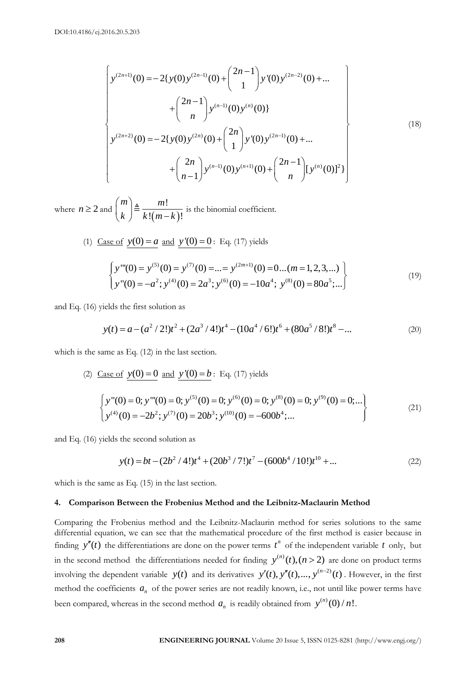$$
\begin{cases}\ny^{(2n+1)}(0) = -2\{y(0)y^{(2n-1)}(0) + \binom{2n-1}{1}y'(0)y^{(2n-2)}(0) + \dots \\
&+ \binom{2n-1}{n}y^{(n-1)}(0)y^{(n)}(0)\}\n\end{cases}
$$
\n
$$
y^{(2n+2)}(0) = -2\{y(0)y^{(2n)}(0) + \binom{2n}{1}y'(0)y^{(2n-1)}(0) + \dots \\
&+ \binom{2n}{n-1}y^{(n-1)}(0)y^{(n+1)}(0) + \binom{2n-1}{n}[y^{(n)}(0)]^2\}\n\end{cases}
$$
\n(18)

where  $n \geq 2$  and  $(m-k)$ !  $\sqrt{m-k}$ !  $m$ <sup> $\lambda$ </sup> *m*  $\binom{m}{k} \triangleq \frac{m!}{k!(m-k)!}$ is the binomial coefficient.

(1) Case of 
$$
y(0) = a
$$
 and  $y'(0) = 0$ : Eq. (17) yields  
\n
$$
\begin{cases}\ny'''(0) = y^{(5)}(0) = y^{(7)}(0) = ... = y^{(2m+1)}(0) = 0...(m = 1, 2, 3, ...) \\
y'''(0) = -a^2; y^{(4)}(0) = 2a^3; y^{(6)}(0) = -10a^4; y^{(8)}(0) = 80a^5; ...\n\end{cases}
$$
\n(19)

and Eq. (16) yields the first solution as

ields the first solution as  
\n
$$
y(t) = a - (a^2 / 2!)t^2 + (2a^3 / 4!)t^4 - (10a^4 / 6!)t^6 + (80a^5 / 8!)t^8 - \dots
$$
\n(20)

which is the same as Eq. (12) in the last section.

(2) Case of 
$$
y(0) = 0
$$
 and  $y'(0) = b$ : Eq. (17) yields  
\n
$$
\begin{cases}\ny''(0) = 0; y'''(0) = 0; y^{(5)}(0) = 0; y^{(6)}(0) = 0; y^{(8)}(0) = 0; y^{(9)}(0) = 0; ...\br>\n
$$
\begin{cases}\ny^{(4)}(0) = -2b^2; y^{(7)}(0) = 20b^3; y^{(10)}(0) = -600b^4; ... \end{cases}
$$
\n(21)
$$

and Eq. (16) yields the second solution as

the second solution as  
\n
$$
y(t) = bt - (2b^2 / 4!)t^4 + (20b^3 / 7!)t^7 - (600b^4 / 10!)t^{10} + ...
$$
\n(22)

which is the same as Eq. (15) in the last section.

# **4. Comparison Between the Frobenius Method and the Leibnitz-Maclaurin Method**

Comparing the Frobenius method and the Leibnitz-Maclaurin method for series solutions to the same differential equation, we can see that the mathematical procedure of the first method is easier because in finding  $y''(t)$  the differentiations are done on the power terms  $t^n$  of the independent variable  $t$  only, but in the second method the differentiations needed for finding  $y^{(n)}(t)$ ,  $(n>2)$  are done on product terms involving the dependent variable  $y(t)$  and its derivatives  $y'(t)$ ,  $y''(t)$ , ...,  $y^{(n-2)}(t)$ . However, in the first method the coefficients  $a_n$  of the power series are not readily known, i.e., not until like power terms have been compared, whereas in the second method  $a_n$  is readily obtained from  $y^{(n)}(0)/n!$ .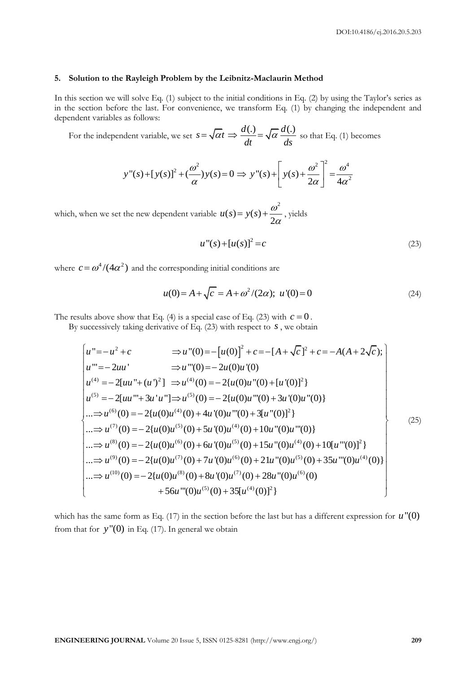#### **5. Solution to the Rayleigh Problem by the Leibnitz-Maclaurin Method**

In this section we will solve Eq. (1) subject to the initial conditions in Eq. (2) by using the Taylor's series as in the section before the last. For convenience, we transform Eq. (1) by changing the independent and dependent variables as follows:

For the independent variable, we set  $s = \sqrt{\alpha}t \Rightarrow \frac{d(.)}{dt} = \sqrt{\alpha} \frac{d(.)}{dt}$  $\frac{\partial}{\partial t} = \sqrt{\alpha} \frac{\partial}{\partial s}$  $s = \sqrt{\alpha t} \Rightarrow \frac{d(.)}{t} = \sqrt{\alpha} \frac{d(.)}{t}$  so that Eq. (1) becomes

$$
y''(s) + [y(s)]^2 + (\frac{\omega^2}{\alpha})y(s) = 0 \implies y''(s) + \left[y(s) + \frac{\omega^2}{2\alpha}\right]^2 = \frac{\omega^4}{4\alpha^2}
$$

which, when we set the new dependent variable  $(s) = y(s) + \frac{\omega^2}{2}$ 2  $u(s) = y(s) + \frac{\omega}{s}$  $= y(s) + \frac{\omega}{2\alpha}$ , yields

$$
u''(s) + [u(s)]^2 = c \tag{23}
$$

where  $c = \omega^4/(4\alpha^2)$  and the corresponding initial conditions are

$$
u(0) = A + \sqrt{c} = A + \omega^2/(2\alpha); \ u'(0) = 0
$$
 (24)

The results above show that Eq. (4) is a special case of Eq. (23) with  $c = 0$ .

results above show that Eq. (4) is a special case of Eq. (23) with 
$$
c = 0
$$
.  
\nBy successively taking derivative of Eq. (23) with respect to *s*, we obtain  
\n
$$
u'' = -u^2 + c \Rightarrow u''(0) = -[u(0)]^2 + c = -[A + \sqrt{c}]^2 + c = -A(A + 2\sqrt{c});
$$
\n
$$
u''' = -2uu' \Rightarrow u''(0) = -2u(0)u'(0)
$$
\n
$$
u^{(4)} = -2[uu'' + (u')^2] \Rightarrow u^{(4)}(0) = -2\{u(0)u''(0) + [u'(0)]^2\}
$$
\n
$$
u^{(5)} = -2[uu''' + 3u'u''] \Rightarrow u^{(5)}(0) = -2\{u(0)u'''(0) + 3u'(0)u''(0)\}
$$
\n
$$
... \Rightarrow u^{(6)}(0) = -2\{u(0)u^{(4)}(0) + 4u'(0)u'''(0) + 3[u''(0)]^2\}
$$
\n
$$
... \Rightarrow u^{(7)}(0) = -2\{u(0)u^{(5)}(0) + 5u'(0)u^{(4)}(0) + 10u''(0)u'''(0)\}
$$
\n
$$
... \Rightarrow u^{(8)}(0) = -2\{u(0)u^{(6)}(0) + 6u'(0)u^{(5)}(0) + 15u''(0)u^{(4)}(0) + 10[u'''(0)]^2\}
$$
\n
$$
... \Rightarrow u^{(9)}(0) = -2\{u(0)u^{(7)}(0) + 7u'(0)u^{(6)}(0) + 21u''(0)u^{(5)}(0) + 35u'''(0)u^{(4)}(0)\}
$$
\n
$$
... \Rightarrow u^{(10)}(0) = -2\{u(0)u^{(8)}(0) + 8u'(0)u^{(7)}(0) + 28u''(0)u^{(6)}(0)
$$
\n
$$
+56u'''(0)u^{(5)}(0) + 35[u^{(4)}(0)]^2\}
$$
\n(25)

which has the same form as Eq.  $(17)$  in the section before the last but has a different expression for  $u''(0)$ from that for  $y''(0)$  in Eq. (17). In general we obtain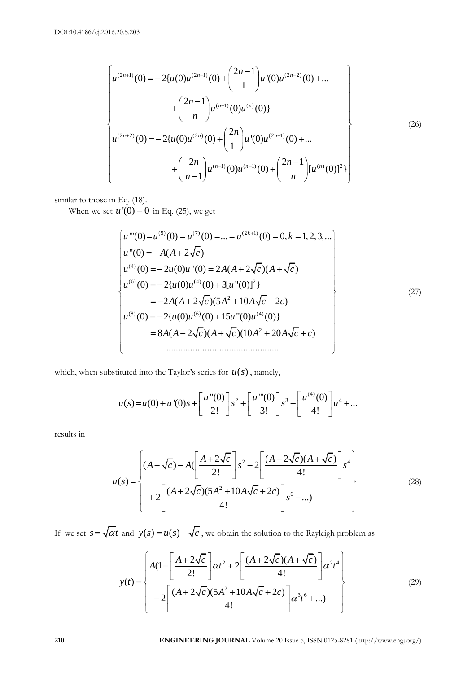$$
\begin{cases}\nu^{(2n+1)}(0) = -2\{u(0)u^{(2n-1)}(0) + {2n-1 \choose 1}u'(0)u^{(2n-2)}(0) + \dots \\
&+ {2n-1 \choose n}u^{(n-1)}(0)u^{(n)}(0)\} \\
u^{(2n+2)}(0) = -2\{u(0)u^{(2n)}(0) + {2n \choose 1}u'(0)u^{(2n-1)}(0) + \dots \\
&+ {2n \choose n-1}u^{(n-1)}(0)u^{(n+1)}(0) + {2n-1 \choose n}[u^{(n)}(0)]^2\}\n\end{cases}
$$
\n(26)

similar to those in Eq. (18).

When we set 
$$
u'(0) = 0
$$
 in Eq. (25), we get  
\n
$$
\begin{bmatrix}\nu'''(0) = u^{(5)}(0) = u^{(7)}(0) = ... = u^{(2k+1)}(0) = 0, k = 1, 2, 3, ... \\
u'''(0) = -A(A + 2\sqrt{c}) \\
u^{(4)}(0) = -2u(0)u'''(0) = 2A(A + 2\sqrt{c})(A + \sqrt{c}) \\
u^{(6)}(0) = -2\{u(0)u^{(4)}(0) + 3[u''(0)]^2\} \\
= -2A(A + 2\sqrt{c})(5A^2 + 10A\sqrt{c} + 2c) \\
u^{(8)}(0) = -2\{u(0)u^{(6)}(0) + 15u''(0)u^{(4)}(0)\} \\
= 8A(A + 2\sqrt{c})(A + \sqrt{c})(10A^2 + 20A\sqrt{c} + c)\n\end{bmatrix}
$$
\n(27)

which, when substituted into the Taylor's series for 
$$
u(s)
$$
, namely,  

$$
u(s) = u(0) + u'(0)s + \left[\frac{u''(0)}{2!}\right]s^2 + \left[\frac{u'''(0)}{3!}\right]s^3 + \left[\frac{u^{(4)}(0)}{4!}\right]u^4 + ...
$$

results in

$$
u(s) = \begin{cases} (A + \sqrt{c}) - A \left[ \frac{A + 2\sqrt{c}}{2!} \right] s^2 - 2 \left[ \frac{(A + 2\sqrt{c})(A + \sqrt{c})}{4!} \right] s^4 \\ + 2 \left[ \frac{(A + 2\sqrt{c})(5A^2 + 10A\sqrt{c} + 2c)}{4!} \right] s^6 - ... \end{cases}
$$
(28)

If we set 
$$
s = \sqrt{\alpha t}
$$
 and  $y(s) = u(s) - \sqrt{c}$ , we obtain the solution to the Rayleigh problem as  
\n
$$
y(t) = \begin{cases}\nA(1 - \left[\frac{A + 2\sqrt{c}}{2!}\right] \alpha t^2 + 2\left[\frac{(A + 2\sqrt{c})(A + \sqrt{c})}{4!}\right] \alpha^2 t^4 \\
-2\left[\frac{(A + 2\sqrt{c})(5A^2 + 10A\sqrt{c} + 2c)}{4!}\right] \alpha^3 t^6 + ...\n\end{cases}
$$
\n(29)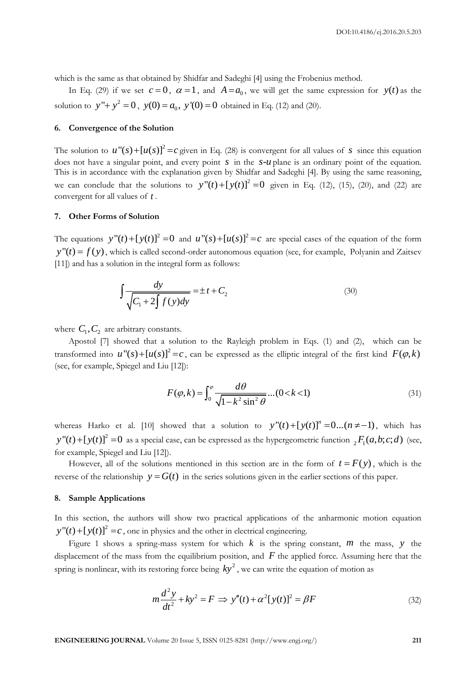which is the same as that obtained by Shidfar and Sadeghi [4] using the Frobenius method.

In Eq. (29) if we set  $c = 0$ ,  $\alpha = 1$ , and  $A = a_0$ , we will get the same expression for  $y(t)$  as the solution to  $y'' + y^2 = 0$ ,  $y(0) = a_0$ ,  $y'(0) = 0$  obtained in Eq. (12) and (20).

## **6. Convergence of the Solution**

The solution to  $u''(s) + [u(s)]^2 = c$  given in Eq. (28) is convergent for all values of *s* since this equation does not have a singular point, and every point *s* in the *s*-*u* plane is an ordinary point of the equation. This is in accordance with the explanation given by Shidfar and Sadeghi [4]. By using the same reasoning, we can conclude that the solutions to  $y''(t) + [y(t)]^2 = 0$  given in Eq. (12), (15), (20), and (22) are convergent for all values of *t* .

# **7. Other Forms of Solution**

The equations  $y''(t) + [y(t)]^2 = 0$  and  $u''(s) + [u(s)]^2 = c$  are special cases of the equation of the form  $y''(t) = f(y)$ , which is called second-order autonomous equation (see, for example, Polyanin and Zaitsev [11]) and has a solution in the integral form as follows:

$$
\int \frac{dy}{\sqrt{C_1 + 2\int f(y)dy}} = \pm t + C_2
$$
\n(30)

where  $C_1, C_2$  are arbitrary constants.

Apostol [7] showed that a solution to the Rayleigh problem in Eqs. (1) and (2), which can be transformed into  $u''(s) + [u(s)]^2 = c$ , can be expressed as the elliptic integral of the first kind  $F(\varphi, k)$ (see, for example, Spiegel and Liu [12]):

$$
F(\varphi, k) = \int_0^{\varphi} \frac{d\theta}{\sqrt{1 - k^2 \sin^2 \theta}} \dots (0 < k < 1) \tag{31}
$$

whereas Harko et al. [10] showed that a solution to  $y''(t) + [y(t)]^n = 0...(n \neq -1)$ , which has  $y''(t) + [y(t)]^2 = 0$  as a special case, can be expressed as the hypergeometric function  ${}_2F_1(a,b;c;d)$  (see, for example, Spiegel and Liu [12]).

However, all of the solutions mentioned in this section are in the form of  $t = F(y)$ , which is the reverse of the relationship  $y = G(t)$  in the series solutions given in the earlier sections of this paper.

# **8. Sample Applications**

In this section, the authors will show two practical applications of the anharmonic motion equation  $y''(t) + [y(t)]^2 = c$ , one in physics and the other in electrical engineering.

Figure 1 shows a spring-mass system for which  $k$  is the spring constant,  $m$  the mass,  $y$  the displacement of the mass from the equilibrium position, and  $F$  the applied force. Assuming here that the spring is nonlinear, with its restoring force being  $ky^2$  , we can write the equation of motion as

$$
m\frac{d^2y}{dt^2} + ky^2 = F \implies y''(t) + \alpha^2[y(t)]^2 = \beta F
$$
\n(32)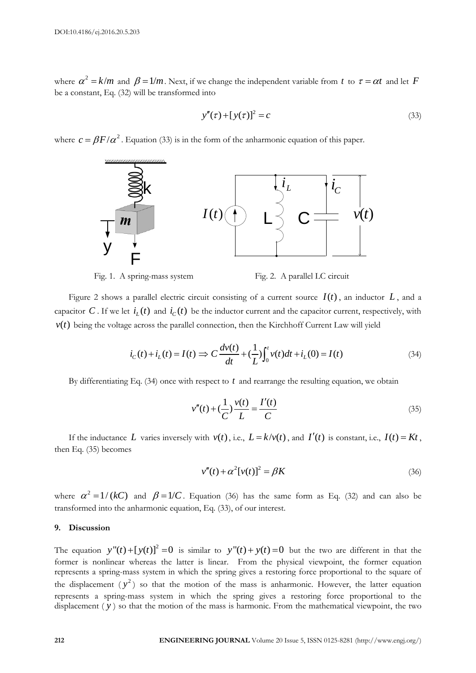where  $\alpha^2 = k/m$  and  $\beta = 1/m$ . Next, if we change the independent variable from t to  $\tau = \alpha t$  and let F be a constant, Eq. (32) will be transformed into

$$
y''(\tau) + [y(\tau)]^2 = c \tag{33}
$$

where  $c = \beta F / \alpha^2$ . Equation (33) is in the form of the anharmonic equation of this paper.





Figure 2 shows a parallel electric circuit consisting of a current source  $I(t)$ , an inductor  $L$ , and a capacitor C. If we let  $i_l(t)$  and  $i_c(t)$  be the inductor current and the capacitor current, respectively, with

$$
v(t)
$$
 being the voltage across the parallel connection, then the Kirchhoff Current Law will yield  

$$
i_C(t) + i_L(t) = I(t) \Rightarrow C \frac{dv(t)}{dt} + (\frac{1}{L}) \int_0^t v(t)dt + i_L(0) = I(t)
$$
(34)

By differentiating Eq.  $(34)$  once with respect to  $t$  and rearrange the resulting equation, we obtain

$$
v''(t) + \left(\frac{1}{C}\right)\frac{v(t)}{L} = \frac{I'(t)}{C}
$$
\n(35)

If the inductance L varies inversely with  $v(t)$ , i.e.,  $L = k/v(t)$ , and  $I'(t)$  is constant, i.e.,  $I(t) = Kt$ , then Eq. (35) becomes

$$
v''(t) + \alpha^2 [v(t)]^2 = \beta K \tag{36}
$$

where  $\alpha^2 = 1/(kC)$  and  $\beta = 1/C$ . Equation (36) has the same form as Eq. (32) and can also be transformed into the anharmonic equation, Eq. (33), of our interest.

### **9. Discussion**

The equation  $y''(t) + [y(t)]^2 = 0$  is similar to  $y''(t) + y(t) = 0$  but the two are different in that the former is nonlinear whereas the latter is linear. From the physical viewpoint, the former equation represents a spring-mass system in which the spring gives a restoring force proportional to the square of the displacement  $(y^2)$  so that the motion of the mass is anharmonic. However, the latter equation represents a spring-mass system in which the spring gives a restoring force proportional to the displacement ( *y* ) so that the motion of the mass is harmonic. From the mathematical viewpoint, the two